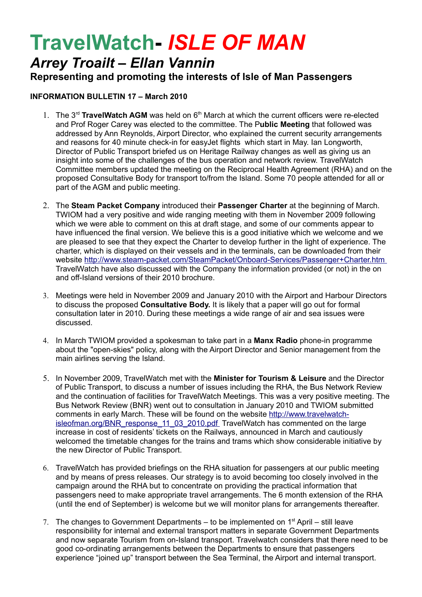## **TravelWatch-** *ISLE OF MAN*

## *Arrey Troailt – Ellan Vannin*

**Representing and promoting the interests of Isle of Man Passengers**

## **INFORMATION BULLETIN 17 – March 2010**

- 1. The 3<sup>rd</sup> TravelWatch AGM was held on 6<sup>th</sup> March at which the current officers were re-elected and Prof Roger Carey was elected to the committee. The P**ublic Meeting** that followed was addressed by Ann Reynolds, Airport Director, who explained the current security arrangements and reasons for 40 minute check-in for easyJet flights which start in May. Ian Longworth, Director of Public Transport briefed us on Heritage Railway changes as well as giving us an insight into some of the challenges of the bus operation and network review. TravelWatch Committee members updated the meeting on the Reciprocal Health Agreement (RHA) and on the proposed Consultative Body for transport to/from the Island. Some 70 people attended for all or part of the AGM and public meeting.
- 2. The **Steam Packet Company** introduced their **Passenger Charter** at the beginning of March. TWIOM had a very positive and wide ranging meeting with them in November 2009 following which we were able to comment on this at draft stage, and some of our comments appear to have influenced the final version. We believe this is a good initiative which we welcome and we are pleased to see that they expect the Charter to develop further in the light of experience. The charter, which is displayed on their vessels and in the terminals, can be downloaded from their website<http://www.steam-packet.com/SteamPacket/Onboard-Services/Passenger+Charter.htm> TravelWatch have also discussed with the Company the information provided (or not) in the on and off-Island versions of their 2010 brochure.
- 3. Meetings were held in November 2009 and January 2010 with the Airport and Harbour Directors to discuss the proposed **Consultative Body.** It is likely that a paper will go out for formal consultation later in 2010. During these meetings a wide range of air and sea issues were discussed.
- 4. In March TWIOM provided a spokesman to take part in a **Manx Radio** phone-in programme about the "open-skies" policy, along with the Airport Director and Senior management from the main airlines serving the Island.
- 5. In November 2009, TravelWatch met with the **Minister for Tourism & Leisure** and the Director of Public Transport, to discuss a number of issues including the RHA, the Bus Network Review and the continuation of facilities for TravelWatch Meetings. This was a very positive meeting. The Bus Network Review (BNR) went out to consultation in January 2010 and TWIOM submitted comments in early March. These will be found on the website [http://www.travelwatch](http://www.travelwatch-isleofman.org/BNR_response_11_03_2010.pdf) isleofman.org/BNR\_response\_11\_03\_2010.pdf\_TravelWatch has commented on the large increase in cost of residents' tickets on the Railways, announced in March and cautiously welcomed the timetable changes for the trains and trams which show considerable initiative by the new Director of Public Transport.
- 6. TravelWatch has provided briefings on the RHA situation for passengers at our public meeting and by means of press releases. Our strategy is to avoid becoming too closely involved in the campaign around the RHA but to concentrate on providing the practical information that passengers need to make appropriate travel arrangements. The 6 month extension of the RHA (until the end of September) is welcome but we will monitor plans for arrangements thereafter.
- 7. The changes to Government Departments to be implemented on  $1<sup>st</sup>$  April still leave responsibility for internal and external transport matters in separate Government Departments and now separate Tourism from on-Island transport. Travelwatch considers that there need to be good co-ordinating arrangements between the Departments to ensure that passengers experience "joined up" transport between the Sea Terminal, the Airport and internal transport.